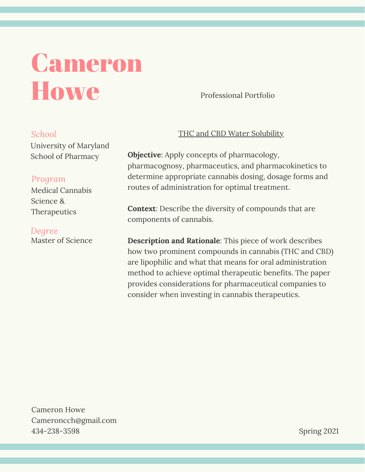# Cameron **Howe**

Professional Portfolio

### *School*

University of Maryland School of Pharmacy

# *Program*

Medical Cannabis Science & Therapeutics

Master of Science *Degree*

## THC and CBD Water Solubility

**Objective**: Apply concepts of pharmacology, pharmacognosy, pharmaceutics, and pharmacokinetics to determine appropriate cannabis dosing, dosage forms and routes of administration for optimal treatment.

**Context**: Describe the diversity of compounds that are components of cannabis.

**Description and Rationale**: This piece of work describes how two prominent compounds in cannabis (THC and CBD) are lipophilic and what that means for oral administration method to achieve optimal therapeutic benefits. The paper provides considerations for pharmaceutical companies to consider when investing in cannabis therapeutics.

Cameron Howe Cameroncch@gmail.com 434-238-3598

Spring 2021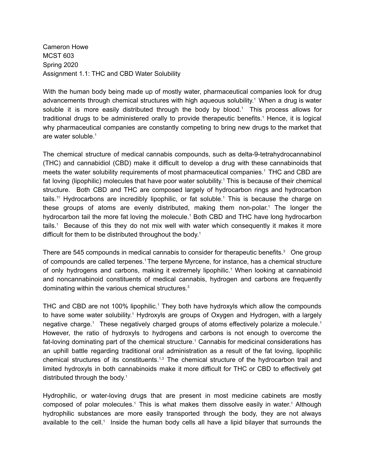Cameron Howe MCST 603 Spring 2020 Assignment 1.1: THC and CBD Water Solubility

With the human body being made up of mostly water, pharmaceutical companies look for drug advancements through chemical structures with high aqueous solubility. <sup>1</sup> When a drug is water soluble it is more easily distributed through the body by blood. <sup>1</sup> This process allows for traditional drugs to be administered orally to provide therapeutic benefits. <sup>1</sup> Hence, it is logical why pharmaceutical companies are constantly competing to bring new drugs to the market that are water soluble. 1

The chemical structure of medical cannabis compounds, such as delta-9-tetrahydrocannabinol (THC) and cannabidiol (CBD) make it difficult to develop a drug with these cannabinoids that meets the water solubility requirements of most pharmaceutical companies. <sup>1</sup> THC and CBD are fat loving (lipophilic) molecules that have poor water solubility. <sup>1</sup> This is because of their chemical structure. Both CBD and THC are composed largely of hydrocarbon rings and hydrocarbon tails.<sup>11</sup> Hydrocarbons are incredibly lipophilic, or fat soluble.<sup>1</sup> This is because the charge on these groups of atoms are evenly distributed, making them non-polar. <sup>1</sup> The longer the hydrocarbon tail the more fat loving the molecule. <sup>1</sup> Both CBD and THC have long hydrocarbon tails. <sup>1</sup> Because of this they do not mix well with water which consequently it makes it more difficult for them to be distributed throughout the body. 1

There are 545 compounds in medical cannabis to consider for therapeutic benefits.<sup>3</sup> One group of compounds are called terpenes. <sup>1</sup>The terpene Myrcene, for instance, has a chemical structure of only hydrogens and carbons, making it extremely lipophilic. <sup>1</sup> When looking at cannabinoid and noncannabinoid constituents of medical cannabis, hydrogen and carbons are frequently dominating within the various chemical structures. 3

THC and CBD are not 100% lipophilic.<sup>1</sup> They both have hydroxyls which allow the compounds to have some water solubility.<sup>1</sup> Hydroxyls are groups of Oxygen and Hydrogen, with a largely negative charge.<sup>1</sup> These negatively charged groups of atoms effectively polarize a molecule.<sup>1</sup> However, the ratio of hydroxyls to hydrogens and carbons is not enough to overcome the fat-loving dominating part of the chemical structure. <sup>1</sup> Cannabis for medicinal considerations has an uphill battle regarding traditional oral administration as a result of the fat loving, lipophilic chemical structures of its constituents.<sup>1,3</sup> The chemical structure of the hydrocarbon trail and limited hydroxyls in both cannabinoids make it more difficult for THC or CBD to effectively get distributed through the body. 1

Hydrophilic, or water-loving drugs that are present in most medicine cabinets are mostly composed of polar molecules.<sup>1</sup> This is what makes them dissolve easily in water.<sup>1</sup> Although hydrophilic substances are more easily transported through the body, they are not always available to the cell.<sup>1</sup> Inside the human body cells all have a lipid bilayer that surrounds the